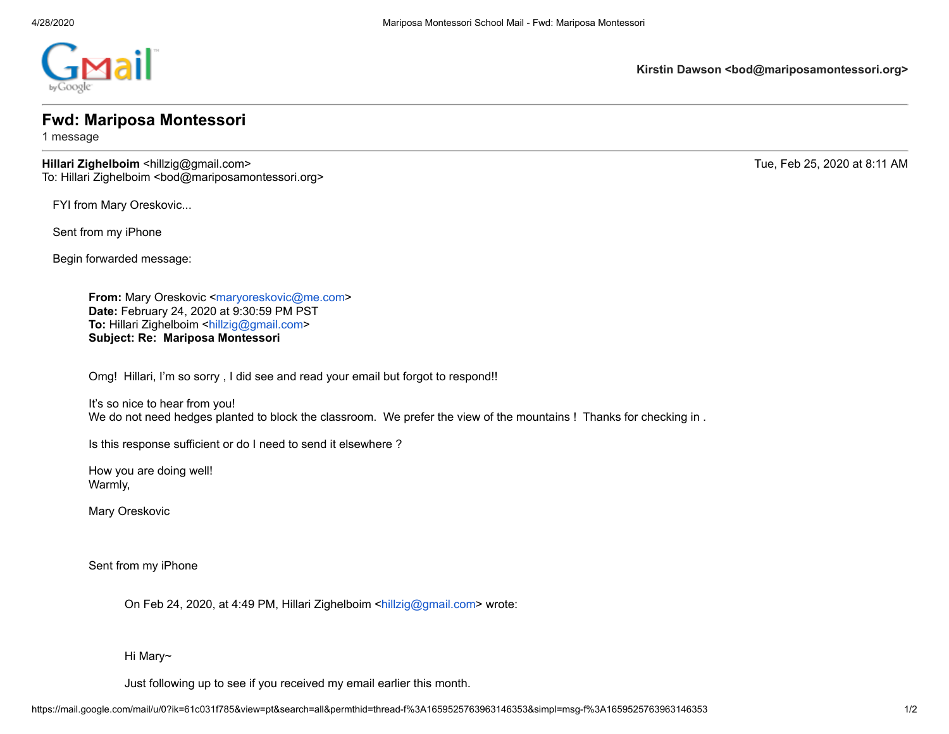

**Kirstin Dawson <bod@mariposamontessori.org>**

## **Fwd: Mariposa Montessori**

1 message

**Hillari Zighelboim** <hillzig@gmail.com> Tue, Feb 25, 2020 at 8:11 AM To: Hillari Zighelboim <bod@mariposamontessori.org>

FYI from Mary Oreskovic...

Sent from my iPhone

Begin forwarded message:

**From:** Mary Oreskovic [<maryoreskovic@me.com>](mailto:maryoreskovic@me.com) **Date:** February 24, 2020 at 9:30:59 PM PST **To:** Hillari Zighelboim [<hillzig@gmail.com](mailto:hillzig@gmail.com)> **Subject: Re: Mariposa Montessori**

Omg! Hillari, I'm so sorry , I did see and read your email but forgot to respond!!

It's so nice to hear from you! We do not need hedges planted to block the classroom. We prefer the view of the mountains ! Thanks for checking in .

Is this response sufficient or do I need to send it elsewhere ?

How you are doing well! Warmly,

Mary Oreskovic

Sent from my iPhone

On Feb 24, 2020, at 4:49 PM, Hillari Zighelboim [<hillzig@gmail.com](mailto:hillzig@gmail.com)> wrote:

Hi Mary~

Just following up to see if you received my email earlier this month.